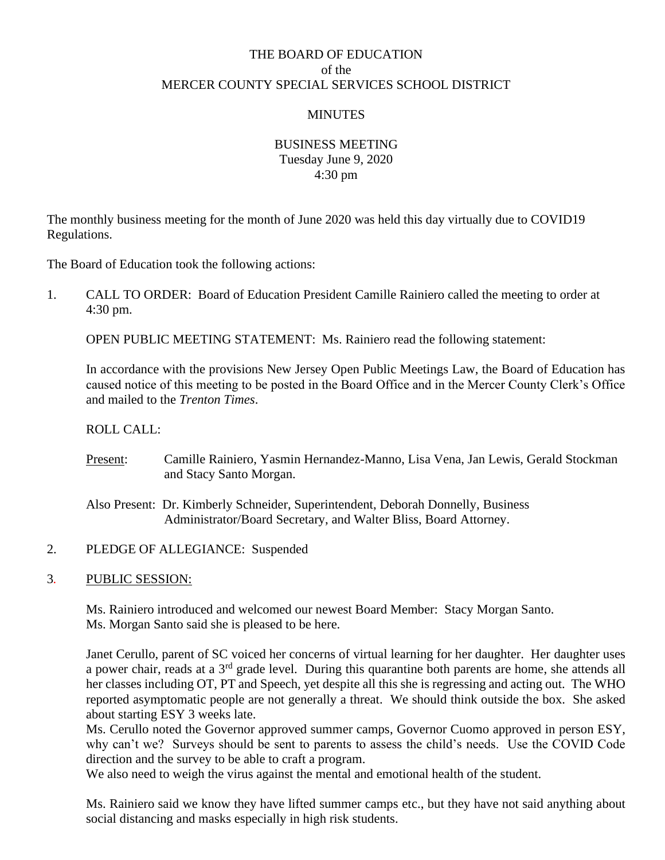# THE BOARD OF EDUCATION of the MERCER COUNTY SPECIAL SERVICES SCHOOL DISTRICT

## **MINUTES**

## BUSINESS MEETING Tuesday June 9, 2020 4:30 pm

The monthly business meeting for the month of June 2020 was held this day virtually due to COVID19 Regulations.

The Board of Education took the following actions:

1. CALL TO ORDER: Board of Education President Camille Rainiero called the meeting to order at 4:30 pm.

OPEN PUBLIC MEETING STATEMENT: Ms. Rainiero read the following statement:

In accordance with the provisions New Jersey Open Public Meetings Law, the Board of Education has caused notice of this meeting to be posted in the Board Office and in the Mercer County Clerk's Office and mailed to the *Trenton Times*.

ROLL CALL:

Present: Camille Rainiero, Yasmin Hernandez-Manno, Lisa Vena, Jan Lewis, Gerald Stockman and Stacy Santo Morgan.

Also Present: Dr. Kimberly Schneider, Superintendent, Deborah Donnelly, Business Administrator/Board Secretary, and Walter Bliss, Board Attorney.

2. PLEDGE OF ALLEGIANCE: Suspended

### 3*.* PUBLIC SESSION:

Ms. Rainiero introduced and welcomed our newest Board Member: Stacy Morgan Santo. Ms. Morgan Santo said she is pleased to be here.

Janet Cerullo, parent of SC voiced her concerns of virtual learning for her daughter. Her daughter uses a power chair, reads at a 3rd grade level. During this quarantine both parents are home, she attends all her classes including OT, PT and Speech, yet despite all this she is regressing and acting out. The WHO reported asymptomatic people are not generally a threat. We should think outside the box. She asked about starting ESY 3 weeks late.

Ms. Cerullo noted the Governor approved summer camps, Governor Cuomo approved in person ESY, why can't we? Surveys should be sent to parents to assess the child's needs. Use the COVID Code direction and the survey to be able to craft a program.

We also need to weigh the virus against the mental and emotional health of the student.

Ms. Rainiero said we know they have lifted summer camps etc., but they have not said anything about social distancing and masks especially in high risk students.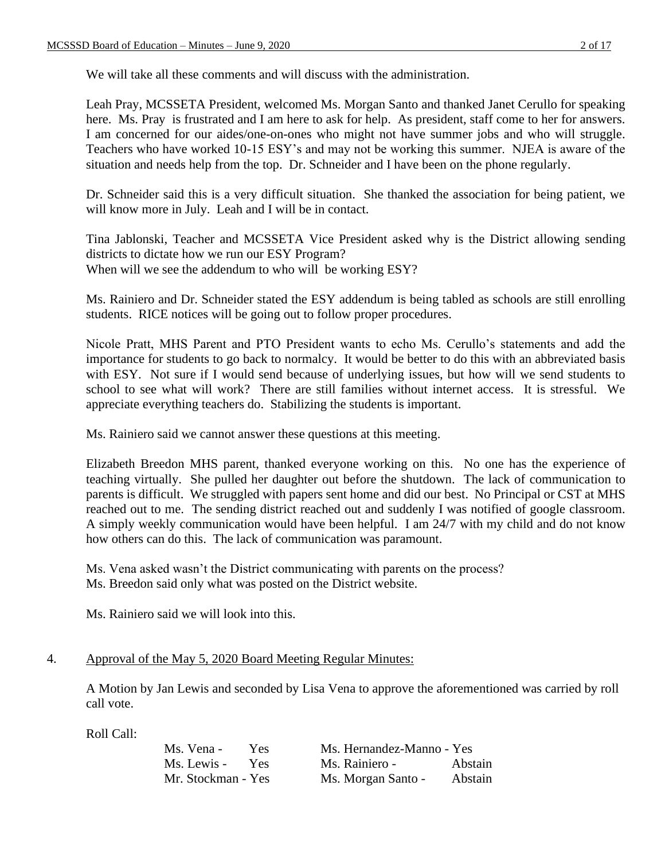We will take all these comments and will discuss with the administration.

Leah Pray, MCSSETA President, welcomed Ms. Morgan Santo and thanked Janet Cerullo for speaking here. Ms. Pray is frustrated and I am here to ask for help. As president, staff come to her for answers. I am concerned for our aides/one-on-ones who might not have summer jobs and who will struggle. Teachers who have worked 10-15 ESY's and may not be working this summer. NJEA is aware of the situation and needs help from the top. Dr. Schneider and I have been on the phone regularly.

Dr. Schneider said this is a very difficult situation. She thanked the association for being patient, we will know more in July. Leah and I will be in contact.

Tina Jablonski, Teacher and MCSSETA Vice President asked why is the District allowing sending districts to dictate how we run our ESY Program? When will we see the addendum to who will be working ESY?

Ms. Rainiero and Dr. Schneider stated the ESY addendum is being tabled as schools are still enrolling students. RICE notices will be going out to follow proper procedures.

Nicole Pratt, MHS Parent and PTO President wants to echo Ms. Cerullo's statements and add the importance for students to go back to normalcy. It would be better to do this with an abbreviated basis with ESY. Not sure if I would send because of underlying issues, but how will we send students to school to see what will work? There are still families without internet access. It is stressful. We appreciate everything teachers do. Stabilizing the students is important.

Ms. Rainiero said we cannot answer these questions at this meeting.

Elizabeth Breedon MHS parent, thanked everyone working on this. No one has the experience of teaching virtually. She pulled her daughter out before the shutdown. The lack of communication to parents is difficult. We struggled with papers sent home and did our best. No Principal or CST at MHS reached out to me. The sending district reached out and suddenly I was notified of google classroom. A simply weekly communication would have been helpful. I am 24/7 with my child and do not know how others can do this. The lack of communication was paramount.

Ms. Vena asked wasn't the District communicating with parents on the process? Ms. Breedon said only what was posted on the District website.

Ms. Rainiero said we will look into this.

### 4. Approval of the May 5, 2020 Board Meeting Regular Minutes:

A Motion by Jan Lewis and seconded by Lisa Vena to approve the aforementioned was carried by roll call vote.

| Ms. Vena -         | Yes.       | Ms. Hernandez-Manno - Yes |                |
|--------------------|------------|---------------------------|----------------|
| Ms. Lewis -        | <b>Yes</b> | Ms. Rainiero -            | <b>Abstain</b> |
| Mr. Stockman - Yes |            | Ms. Morgan Santo -        | Abstain        |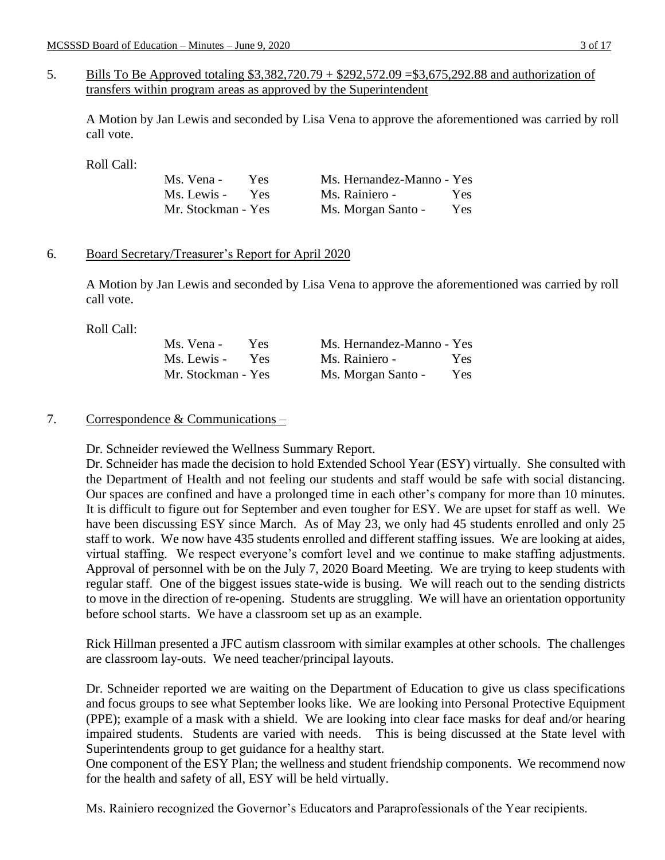5. Bills To Be Approved totaling \$3,382,720.79 + \$292,572.09 = \$3,675,292.88 and authorization of transfers within program areas as approved by the Superintendent

A Motion by Jan Lewis and seconded by Lisa Vena to approve the aforementioned was carried by roll call vote.

Roll Call:

| Ms. Vena -         | Yes.       | Ms. Hernandez-Manno - Yes |            |
|--------------------|------------|---------------------------|------------|
| Ms. Lewis -        | <b>Yes</b> | Ms. Rainiero -            | Yes.       |
| Mr. Stockman - Yes |            | Ms. Morgan Santo -        | <b>Yes</b> |

### 6. Board Secretary/Treasurer's Report for April 2020

A Motion by Jan Lewis and seconded by Lisa Vena to approve the aforementioned was carried by roll call vote.

Roll Call:

| Ms. Vena -         | Yes. | Ms. Hernandez-Manno - Yes |            |
|--------------------|------|---------------------------|------------|
| Ms. Lewis -        | Yes  | Ms. Rainiero -            | <b>Yes</b> |
| Mr. Stockman - Yes |      | Ms. Morgan Santo -        | Yes        |

## 7. Correspondence  $&$  Communications –

Dr. Schneider reviewed the Wellness Summary Report.

Dr. Schneider has made the decision to hold Extended School Year (ESY) virtually. She consulted with the Department of Health and not feeling our students and staff would be safe with social distancing. Our spaces are confined and have a prolonged time in each other's company for more than 10 minutes. It is difficult to figure out for September and even tougher for ESY. We are upset for staff as well. We have been discussing ESY since March. As of May 23, we only had 45 students enrolled and only 25 staff to work. We now have 435 students enrolled and different staffing issues. We are looking at aides, virtual staffing. We respect everyone's comfort level and we continue to make staffing adjustments. Approval of personnel with be on the July 7, 2020 Board Meeting. We are trying to keep students with regular staff. One of the biggest issues state-wide is busing. We will reach out to the sending districts to move in the direction of re-opening. Students are struggling. We will have an orientation opportunity before school starts. We have a classroom set up as an example.

Rick Hillman presented a JFC autism classroom with similar examples at other schools. The challenges are classroom lay-outs. We need teacher/principal layouts.

Dr. Schneider reported we are waiting on the Department of Education to give us class specifications and focus groups to see what September looks like. We are looking into Personal Protective Equipment (PPE); example of a mask with a shield. We are looking into clear face masks for deaf and/or hearing impaired students. Students are varied with needs. This is being discussed at the State level with Superintendents group to get guidance for a healthy start.

One component of the ESY Plan; the wellness and student friendship components. We recommend now for the health and safety of all, ESY will be held virtually.

Ms. Rainiero recognized the Governor's Educators and Paraprofessionals of the Year recipients.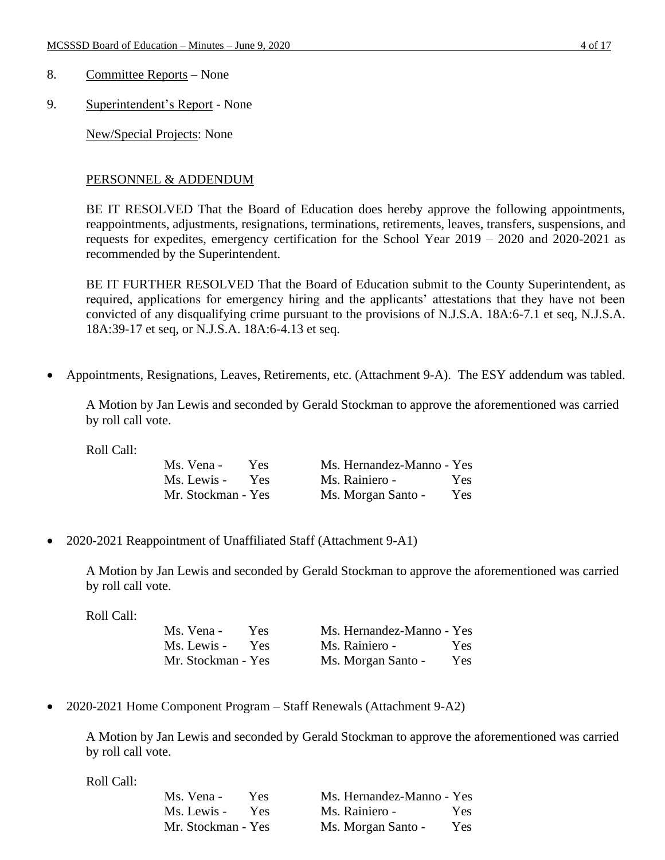- 8. Committee Reports None
- 9. Superintendent's Report None

New/Special Projects: None

## PERSONNEL & ADDENDUM

BE IT RESOLVED That the Board of Education does hereby approve the following appointments, reappointments, adjustments, resignations, terminations, retirements, leaves, transfers, suspensions, and requests for expedites, emergency certification for the School Year 2019 – 2020 and 2020-2021 as recommended by the Superintendent.

BE IT FURTHER RESOLVED That the Board of Education submit to the County Superintendent, as required, applications for emergency hiring and the applicants' attestations that they have not been convicted of any disqualifying crime pursuant to the provisions of N.J.S.A. 18A:6-7.1 et seq, N.J.S.A. 18A:39-17 et seq, or N.J.S.A. 18A:6-4.13 et seq.

• Appointments, Resignations, Leaves, Retirements, etc. (Attachment 9-A). The ESY addendum was tabled.

A Motion by Jan Lewis and seconded by Gerald Stockman to approve the aforementioned was carried by roll call vote.

Roll Call:

| Ms. Vena -         | <b>Yes</b> | Ms. Hernandez-Manno - Yes |     |
|--------------------|------------|---------------------------|-----|
| Ms. Lewis -        | <b>Yes</b> | Ms. Rainiero -            | Yes |
| Mr. Stockman - Yes |            | Ms. Morgan Santo -        | Yes |

• 2020-2021 Reappointment of Unaffiliated Staff (Attachment 9-A1)

A Motion by Jan Lewis and seconded by Gerald Stockman to approve the aforementioned was carried by roll call vote.

Roll Call:

| Ms. Vena -         | Yes: | Ms. Hernandez-Manno - Yes |      |
|--------------------|------|---------------------------|------|
| Ms. Lewis -        | Yes  | Ms. Rainiero -            | Yes  |
| Mr. Stockman - Yes |      | Ms. Morgan Santo -        | Yes. |

• 2020-2021 Home Component Program – Staff Renewals (Attachment 9-A2)

A Motion by Jan Lewis and seconded by Gerald Stockman to approve the aforementioned was carried by roll call vote.

| Ms. Vena -         | Yes.       | Ms. Hernandez-Manno - Yes |      |
|--------------------|------------|---------------------------|------|
| Ms. Lewis -        | <b>Yes</b> | Ms. Rainiero -            | Yes  |
| Mr. Stockman - Yes |            | Ms. Morgan Santo -        | Yes. |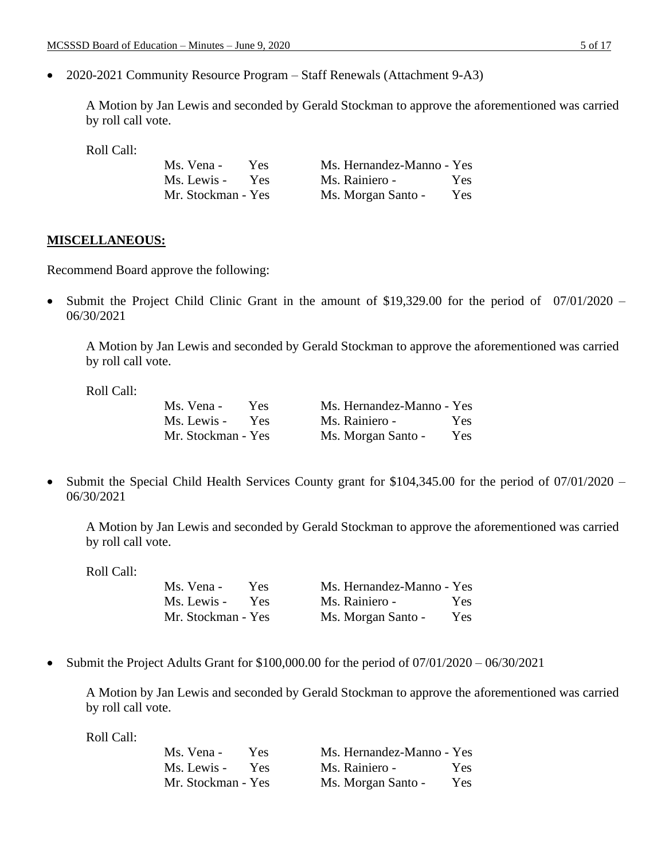• 2020-2021 Community Resource Program – Staff Renewals (Attachment 9-A3)

A Motion by Jan Lewis and seconded by Gerald Stockman to approve the aforementioned was carried by roll call vote.

Roll Call:

| Ms. Vena -         | Yes.       | Ms. Hernandez-Manno - Yes |            |
|--------------------|------------|---------------------------|------------|
| Ms. Lewis -        | <b>Yes</b> | Ms. Rainiero -            | Yes.       |
| Mr. Stockman - Yes |            | Ms. Morgan Santo -        | <b>Yes</b> |

#### **MISCELLANEOUS:**

Recommend Board approve the following:

• Submit the Project Child Clinic Grant in the amount of \$19,329.00 for the period of 07/01/2020 – 06/30/2021

A Motion by Jan Lewis and seconded by Gerald Stockman to approve the aforementioned was carried by roll call vote.

Roll Call:

| Ms. Vena -         | Yes.       | Ms. Hernandez-Manno - Yes |            |
|--------------------|------------|---------------------------|------------|
| Ms. Lewis -        | <b>Yes</b> | Ms. Rainiero -            | Yes.       |
| Mr. Stockman - Yes |            | Ms. Morgan Santo -        | <b>Yes</b> |

• Submit the Special Child Health Services County grant for \$104,345.00 for the period of 07/01/2020 – 06/30/2021

A Motion by Jan Lewis and seconded by Gerald Stockman to approve the aforementioned was carried by roll call vote.

Roll Call:

| Ms. Vena -         | Yes.       | Ms. Hernandez-Manno - Yes |            |
|--------------------|------------|---------------------------|------------|
| Ms. Lewis -        | <b>Yes</b> | Ms. Rainiero -            | <b>Yes</b> |
| Mr. Stockman - Yes |            | Ms. Morgan Santo -        | <b>Yes</b> |

• Submit the Project Adults Grant for \$100,000.00 for the period of 07/01/2020 – 06/30/2021

A Motion by Jan Lewis and seconded by Gerald Stockman to approve the aforementioned was carried by roll call vote.

| Ms. Vena -         | Yes | Ms. Hernandez-Manno - Yes |            |
|--------------------|-----|---------------------------|------------|
| Ms. Lewis -        | Yes | Ms. Rainiero -            | Yes.       |
| Mr. Stockman - Yes |     | Ms. Morgan Santo -        | <b>Yes</b> |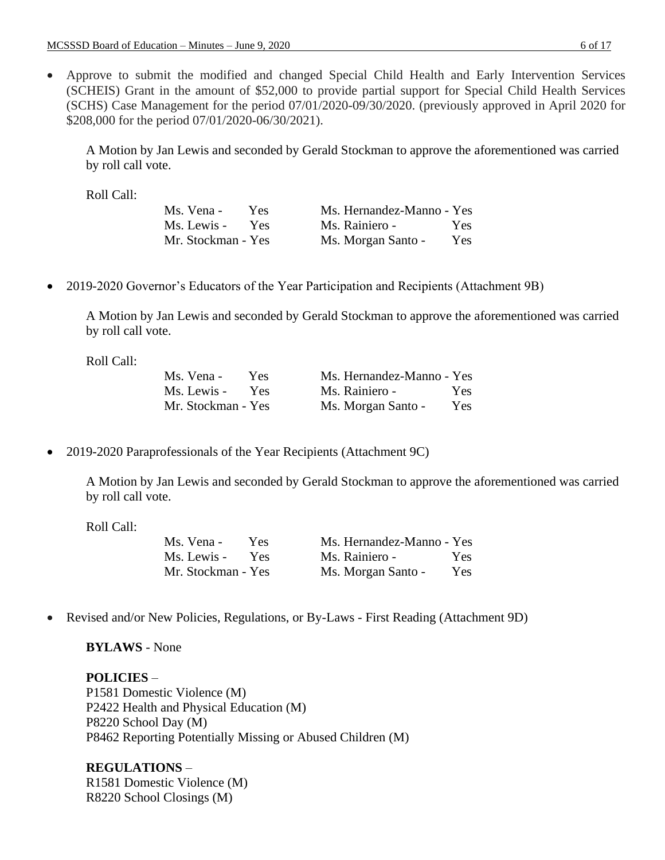• Approve to submit the modified and changed Special Child Health and Early Intervention Services (SCHEIS) Grant in the amount of \$52,000 to provide partial support for Special Child Health Services (SCHS) Case Management for the period 07/01/2020-09/30/2020. (previously approved in April 2020 for \$208,000 for the period 07/01/2020-06/30/2021).

A Motion by Jan Lewis and seconded by Gerald Stockman to approve the aforementioned was carried by roll call vote.

Roll Call:

| Ms. Vena -         | Yes.       | Ms. Hernandez-Manno - Yes |      |
|--------------------|------------|---------------------------|------|
| Ms. Lewis -        | <b>Yes</b> | Ms. Rainiero -            | Yes. |
| Mr. Stockman - Yes |            | Ms. Morgan Santo -        | Yes  |

• 2019-2020 Governor's Educators of the Year Participation and Recipients (Attachment 9B)

A Motion by Jan Lewis and seconded by Gerald Stockman to approve the aforementioned was carried by roll call vote.

Roll Call:

| Ms. Vena -         | Yes        | Ms. Hernandez-Manno - Yes |     |
|--------------------|------------|---------------------------|-----|
| Ms. Lewis -        | <b>Yes</b> | Ms. Rainiero -            | Yes |
| Mr. Stockman - Yes |            | Ms. Morgan Santo -        | Yes |

• 2019-2020 Paraprofessionals of the Year Recipients (Attachment 9C)

A Motion by Jan Lewis and seconded by Gerald Stockman to approve the aforementioned was carried by roll call vote.

Roll Call:

| Ms. Vena -         | Yes. | Ms. Hernandez-Manno - Yes |      |
|--------------------|------|---------------------------|------|
| Ms. Lewis -        | Yes  | Ms. Rainiero -            | Yes. |
| Mr. Stockman - Yes |      | Ms. Morgan Santo -        | Yes: |

• Revised and/or New Policies, Regulations, or By-Laws - First Reading (Attachment 9D)

**BYLAWS** - None

**POLICIES** – P1581 Domestic Violence (M) P2422 Health and Physical Education (M) P8220 School Day (M) P8462 Reporting Potentially Missing or Abused Children (M)

**REGULATIONS** – R1581 Domestic Violence (M) R8220 School Closings (M)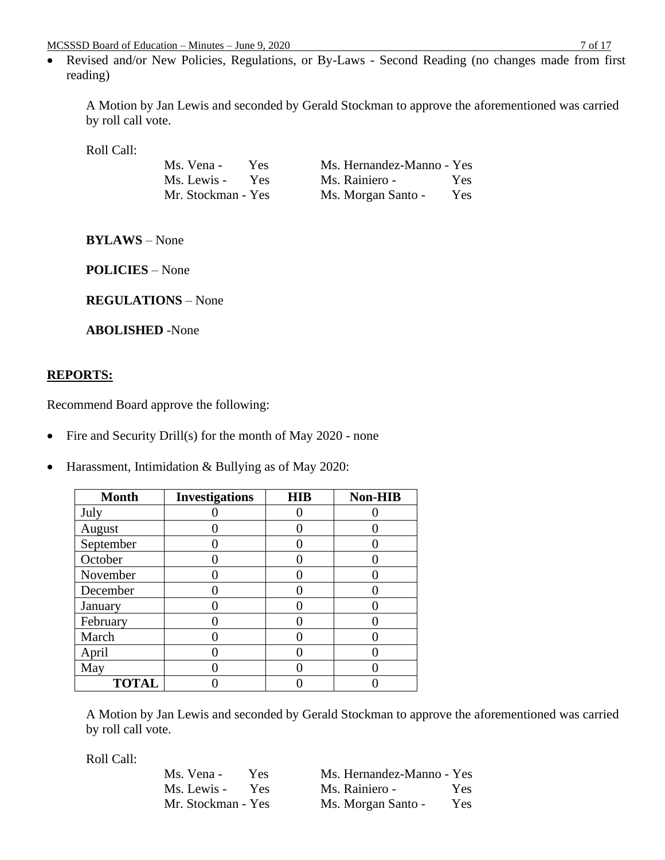• Revised and/or New Policies, Regulations, or By-Laws - Second Reading (no changes made from first reading)

A Motion by Jan Lewis and seconded by Gerald Stockman to approve the aforementioned was carried by roll call vote.

Roll Call:

| Ms. Vena -         | Yes.       | Ms. Hernandez-Manno - Yes |      |
|--------------------|------------|---------------------------|------|
| Ms. Lewis -        | <b>Yes</b> | Ms. Rainiero -            | Yes. |
| Mr. Stockman - Yes |            | Ms. Morgan Santo -        | Yes  |

**BYLAWS** – None

**POLICIES** – None

**REGULATIONS** – None

**ABOLISHED** -None

### **REPORTS:**

Recommend Board approve the following:

• Fire and Security Drill(s) for the month of May 2020 - none

• Harassment, Intimidation & Bullying as of May 2020:

| <b>Month</b> | <b>Investigations</b> | <b>HIB</b> | <b>Non-HIB</b> |
|--------------|-----------------------|------------|----------------|
| July         |                       |            |                |
| August       |                       |            |                |
| September    |                       |            |                |
| October      |                       |            |                |
| November     |                       |            |                |
| December     |                       |            |                |
| January      |                       |            |                |
| February     |                       |            |                |
| March        |                       |            |                |
| April        |                       |            |                |
| May          |                       |            |                |
| <b>TOTAL</b> |                       |            |                |

A Motion by Jan Lewis and seconded by Gerald Stockman to approve the aforementioned was carried by roll call vote.

| Ms. Vena -         | Yes.       | Ms. Hernandez-Manno - Yes |      |
|--------------------|------------|---------------------------|------|
| Ms. Lewis -        | <b>Yes</b> | Ms. Rainiero -            | Yes. |
| Mr. Stockman - Yes |            | Ms. Morgan Santo -        | Yes. |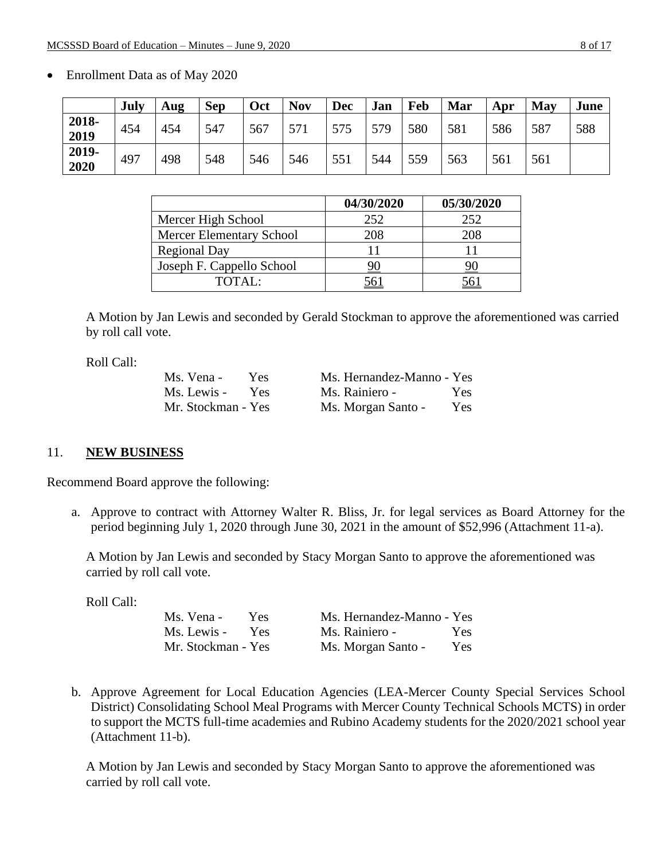|               | July | Aug | <b>Sep</b> | Oct | <b>Nov</b> | <b>Dec</b> | Jan | Feb | Mar | Apr | <b>May</b> | June |
|---------------|------|-----|------------|-----|------------|------------|-----|-----|-----|-----|------------|------|
| 2018-<br>2019 | 454  | 454 | 547        | 567 | 571        | 575        | 579 | 580 | 581 | 586 | 587        | 588  |
| 2019-<br>2020 | 497  | 498 | 548        | 546 | 546        | 551        | 544 | 559 | 563 | 561 | 561        |      |

• Enrollment Data as of May 2020

|                                 | 04/30/2020 | 05/30/2020 |
|---------------------------------|------------|------------|
| Mercer High School              | 252        | 252        |
| <b>Mercer Elementary School</b> | 208        | 208        |
| <b>Regional Day</b>             |            |            |
| Joseph F. Cappello School       |            |            |
| TOTAL:                          |            |            |

A Motion by Jan Lewis and seconded by Gerald Stockman to approve the aforementioned was carried by roll call vote.

Roll Call:

| Ms. Vena -         | Yes:       | Ms. Hernandez-Manno - Yes |      |
|--------------------|------------|---------------------------|------|
| Ms. Lewis -        | <b>Yes</b> | Ms. Rainiero -            | Yes. |
| Mr. Stockman - Yes |            | Ms. Morgan Santo -        | Yes. |

## 11. **NEW BUSINESS**

Recommend Board approve the following:

a. Approve to contract with Attorney Walter R. Bliss, Jr. for legal services as Board Attorney for the period beginning July 1, 2020 through June 30, 2021 in the amount of \$52,996 (Attachment 11-a).

A Motion by Jan Lewis and seconded by Stacy Morgan Santo to approve the aforementioned was carried by roll call vote.

Roll Call:

| Ms. Vena -         | Yes.       | Ms. Hernandez-Manno - Yes |      |
|--------------------|------------|---------------------------|------|
| Ms. Lewis -        | <b>Yes</b> | Ms. Rainiero -            | Yes. |
| Mr. Stockman - Yes |            | Ms. Morgan Santo -        | Yes  |

b. Approve Agreement for Local Education Agencies (LEA-Mercer County Special Services School District) Consolidating School Meal Programs with Mercer County Technical Schools MCTS) in order to support the MCTS full-time academies and Rubino Academy students for the 2020/2021 school year (Attachment 11-b).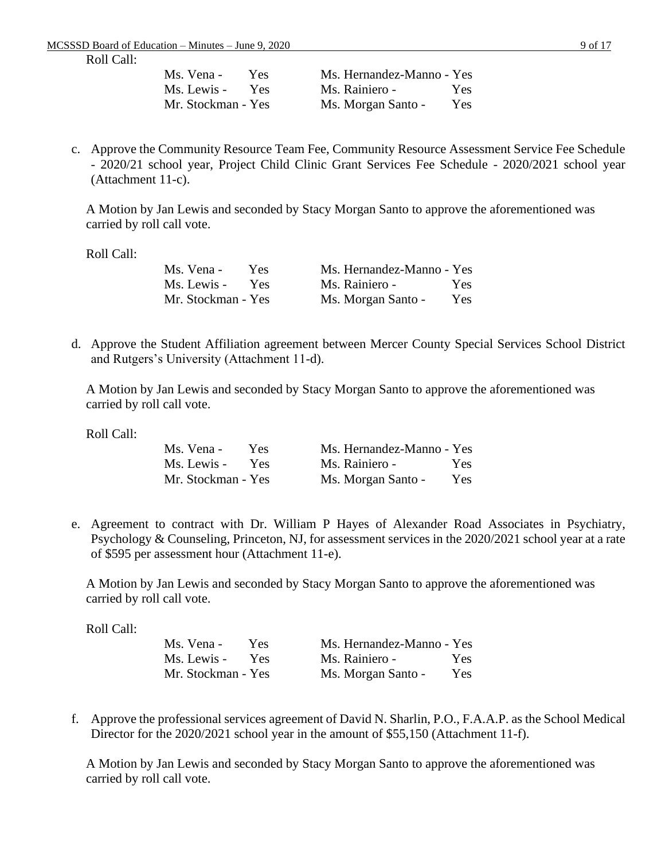| Ms. Vena -         | Yes. | Ms. Hernandez-Manno - Yes |      |
|--------------------|------|---------------------------|------|
| Ms. Lewis -        | Yes. | Ms. Rainiero -            | Yes. |
| Mr. Stockman - Yes |      | Ms. Morgan Santo -        | Yes. |

c. Approve the Community Resource Team Fee, Community Resource Assessment Service Fee Schedule - 2020/21 school year, Project Child Clinic Grant Services Fee Schedule - 2020/2021 school year (Attachment 11-c).

A Motion by Jan Lewis and seconded by Stacy Morgan Santo to approve the aforementioned was carried by roll call vote.

Roll Call:

| Ms. Vena -         | Yes.       | Ms. Hernandez-Manno - Yes |      |
|--------------------|------------|---------------------------|------|
| Ms. Lewis -        | <b>Yes</b> | Ms. Rainiero -            | Yes: |
| Mr. Stockman - Yes |            | Ms. Morgan Santo -        | Yes  |

d. Approve the Student Affiliation agreement between Mercer County Special Services School District and Rutgers's University (Attachment 11-d).

A Motion by Jan Lewis and seconded by Stacy Morgan Santo to approve the aforementioned was carried by roll call vote.

Roll Call:

| Ms. Vena -         | Yes:       | Ms. Hernandez-Manno - Yes |      |
|--------------------|------------|---------------------------|------|
| Ms. Lewis -        | <b>Yes</b> | Ms. Rainiero -            | Yes. |
| Mr. Stockman - Yes |            | Ms. Morgan Santo -        | Yes. |

e. Agreement to contract with Dr. William P Hayes of Alexander Road Associates in Psychiatry, Psychology & Counseling, Princeton, NJ, for assessment services in the 2020/2021 school year at a rate of \$595 per assessment hour (Attachment 11-e).

A Motion by Jan Lewis and seconded by Stacy Morgan Santo to approve the aforementioned was carried by roll call vote.

Roll Call:

| Ms. Vena -         | Yes. | Ms. Hernandez-Manno - Yes |            |
|--------------------|------|---------------------------|------------|
| Ms. Lewis -        | Yes  | Ms. Rainiero -            | Yes        |
| Mr. Stockman - Yes |      | Ms. Morgan Santo -        | <b>Yes</b> |

f. Approve the professional services agreement of David N. Sharlin, P.O., F.A.A.P. as the School Medical Director for the 2020/2021 school year in the amount of \$55,150 (Attachment 11-f).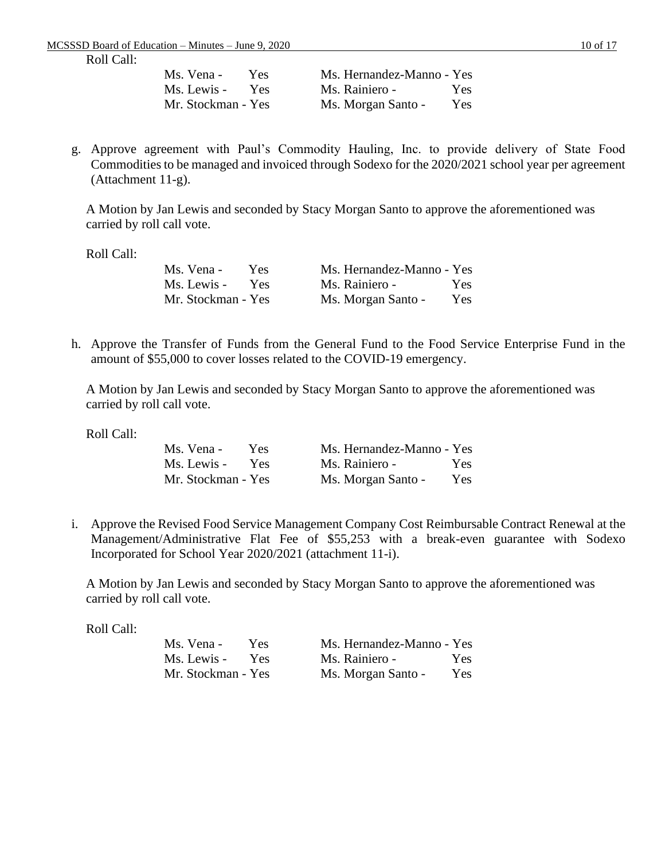| Ms. Vena -         | Yes.       | Ms. Hernandez-Manno - Yes |      |
|--------------------|------------|---------------------------|------|
| Ms. Lewis -        | <b>Yes</b> | Ms. Rainiero -            | Yes. |
| Mr. Stockman - Yes |            | Ms. Morgan Santo -        | Yes. |

g. Approve agreement with Paul's Commodity Hauling, Inc. to provide delivery of State Food Commodities to be managed and invoiced through Sodexo for the 2020/2021 school year per agreement (Attachment 11-g).

A Motion by Jan Lewis and seconded by Stacy Morgan Santo to approve the aforementioned was carried by roll call vote.

Roll Call:

| Ms. Vena -         | Yes.       | Ms. Hernandez-Manno - Yes |      |
|--------------------|------------|---------------------------|------|
| Ms. Lewis -        | <b>Yes</b> | Ms. Rainiero -            | Yes: |
| Mr. Stockman - Yes |            | Ms. Morgan Santo -        | Yes. |

h. Approve the Transfer of Funds from the General Fund to the Food Service Enterprise Fund in the amount of \$55,000 to cover losses related to the COVID-19 emergency.

A Motion by Jan Lewis and seconded by Stacy Morgan Santo to approve the aforementioned was carried by roll call vote.

Roll Call:

| Ms. Vena -         | Yes. | Ms. Hernandez-Manno - Yes |      |
|--------------------|------|---------------------------|------|
| Ms. Lewis -        | Yes  | Ms. Rainiero -            | Yes. |
| Mr. Stockman - Yes |      | Ms. Morgan Santo -        | Yes. |

i. Approve the Revised Food Service Management Company Cost Reimbursable Contract Renewal at the Management/Administrative Flat Fee of \$55,253 with a break-even guarantee with Sodexo Incorporated for School Year 2020/2021 (attachment 11-i).

A Motion by Jan Lewis and seconded by Stacy Morgan Santo to approve the aforementioned was carried by roll call vote.

| Ms. Vena -         | Yes. | Ms. Hernandez-Manno - Yes |      |
|--------------------|------|---------------------------|------|
| Ms. Lewis -        | Yes  | Ms. Rainiero -            | Yes. |
| Mr. Stockman - Yes |      | Ms. Morgan Santo -        | Yes. |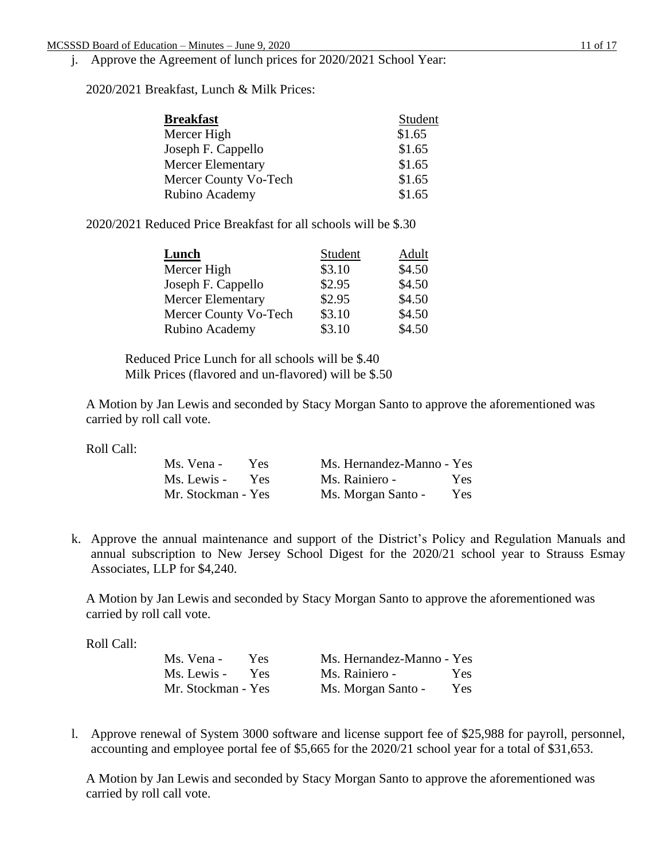## j. Approve the Agreement of lunch prices for 2020/2021 School Year:

2020/2021 Breakfast, Lunch & Milk Prices:

| <b>Breakfast</b>         | Student |
|--------------------------|---------|
| Mercer High              | \$1.65  |
| Joseph F. Cappello       | \$1.65  |
| <b>Mercer Elementary</b> | \$1.65  |
| Mercer County Vo-Tech    | \$1.65  |
| Rubino Academy           | \$1.65  |

2020/2021 Reduced Price Breakfast for all schools will be \$.30

| Lunch                 | Student | Adult  |
|-----------------------|---------|--------|
| Mercer High           | \$3.10  | \$4.50 |
| Joseph F. Cappello    | \$2.95  | \$4.50 |
| Mercer Elementary     | \$2.95  | \$4.50 |
| Mercer County Vo-Tech | \$3.10  | \$4.50 |
| Rubino Academy        | \$3.10  | \$4.50 |

Reduced Price Lunch for all schools will be \$.40 Milk Prices (flavored and un-flavored) will be \$.50

A Motion by Jan Lewis and seconded by Stacy Morgan Santo to approve the aforementioned was carried by roll call vote.

Roll Call:

| Ms. Vena -         | Yes.       | Ms. Hernandez-Manno - Yes |            |
|--------------------|------------|---------------------------|------------|
| Ms. Lewis -        | <b>Yes</b> | Ms. Rainiero -            | <b>Yes</b> |
| Mr. Stockman - Yes |            | Ms. Morgan Santo -        | Yes.       |

k. Approve the annual maintenance and support of the District's Policy and Regulation Manuals and annual subscription to New Jersey School Digest for the 2020/21 school year to Strauss Esmay Associates, LLP for \$4,240.

A Motion by Jan Lewis and seconded by Stacy Morgan Santo to approve the aforementioned was carried by roll call vote.

Roll Call:

| Ms. Vena -         | Yes. | Ms. Hernandez-Manno - Yes |            |
|--------------------|------|---------------------------|------------|
| Ms. Lewis -        | Yes  | Ms. Rainiero -            | <b>Yes</b> |
| Mr. Stockman - Yes |      | Ms. Morgan Santo -        | Yes        |

l. Approve renewal of System 3000 software and license support fee of \$25,988 for payroll, personnel, accounting and employee portal fee of \$5,665 for the 2020/21 school year for a total of \$31,653.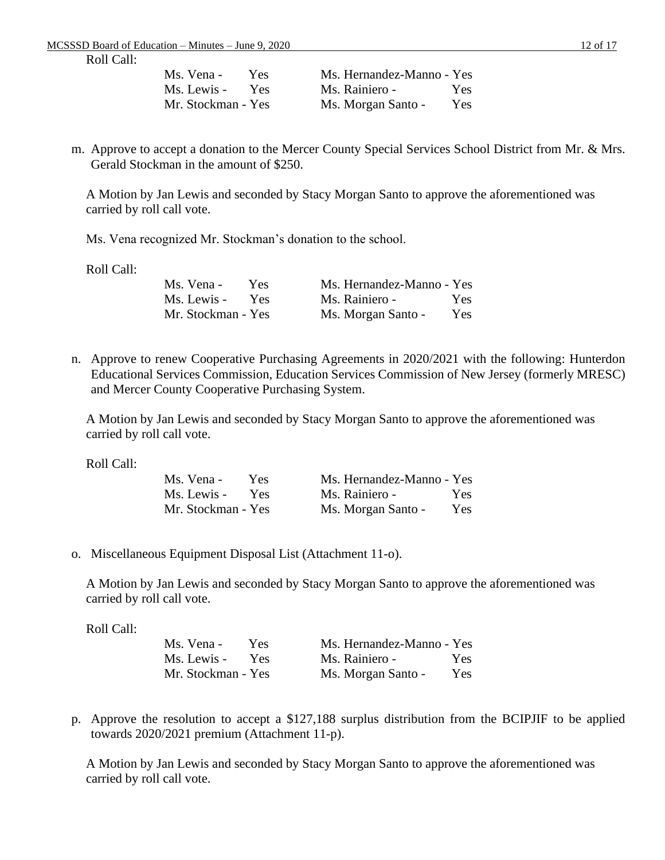| Ms. Vena -         | Yes. | Ms. Hernandez-Manno - Yes |      |
|--------------------|------|---------------------------|------|
| Ms. Lewis -        | Yes  | Ms. Rainiero -            | Yes: |
| Mr. Stockman - Yes |      | Ms. Morgan Santo -        | Yes: |

m. Approve to accept a donation to the Mercer County Special Services School District from Mr. & Mrs. Gerald Stockman in the amount of \$250.

A Motion by Jan Lewis and seconded by Stacy Morgan Santo to approve the aforementioned was carried by roll call vote.

Ms. Vena recognized Mr. Stockman's donation to the school.

Roll Call:

| Ms. Vena -         | Yes. | Ms. Hernandez-Manno - Yes |      |
|--------------------|------|---------------------------|------|
| Ms. Lewis -        | Yes  | Ms. Rainiero -            | Yes. |
| Mr. Stockman - Yes |      | Ms. Morgan Santo -        | Yes  |

n. Approve to renew Cooperative Purchasing Agreements in 2020/2021 with the following: Hunterdon Educational Services Commission, Education Services Commission of New Jersey (formerly MRESC) and Mercer County Cooperative Purchasing System.

A Motion by Jan Lewis and seconded by Stacy Morgan Santo to approve the aforementioned was carried by roll call vote.

Roll Call:

| Ms. Vena -         | Yes.       | Ms. Hernandez-Manno - Yes |            |
|--------------------|------------|---------------------------|------------|
| Ms. Lewis -        | <b>Yes</b> | Ms. Rainiero -            | <b>Yes</b> |
| Mr. Stockman - Yes |            | Ms. Morgan Santo -        | Yes.       |

o. Miscellaneous Equipment Disposal List (Attachment 11-o).

A Motion by Jan Lewis and seconded by Stacy Morgan Santo to approve the aforementioned was carried by roll call vote.

Roll Call:

| Ms. Vena -         | Yes. | Ms. Hernandez-Manno - Yes |      |
|--------------------|------|---------------------------|------|
| Ms. Lewis -        | Yes  | Ms. Rainiero -            | Yes. |
| Mr. Stockman - Yes |      | Ms. Morgan Santo -        | Yes  |

p. Approve the resolution to accept a \$127,188 surplus distribution from the BCIPJIF to be applied towards 2020/2021 premium (Attachment 11-p).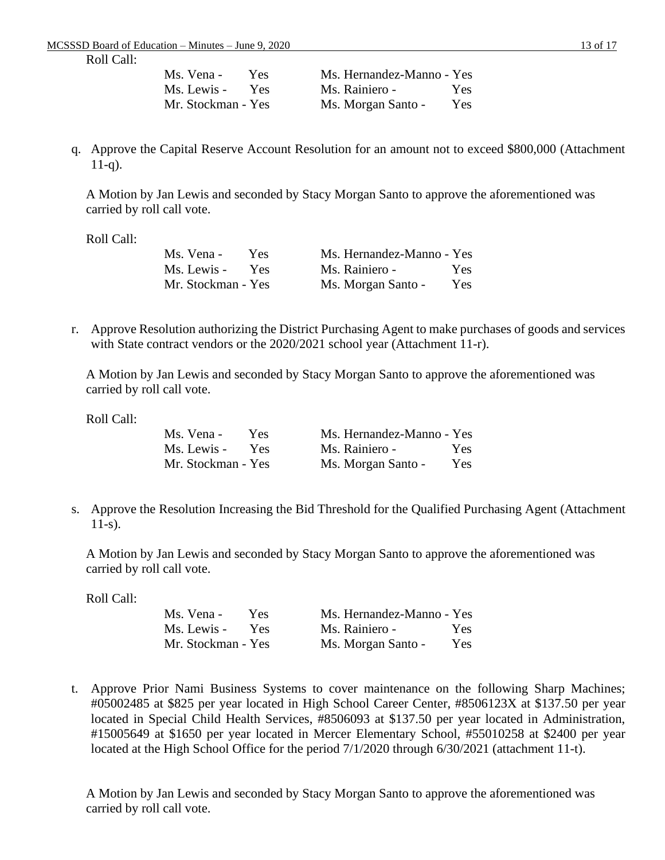| Ms. Vena -         | Yes. | Ms. Hernandez-Manno - Yes |      |
|--------------------|------|---------------------------|------|
| Ms. Lewis -        | Yes  | Ms. Rainiero -            | Yes. |
| Mr. Stockman - Yes |      | Ms. Morgan Santo -        | Yes: |

q. Approve the Capital Reserve Account Resolution for an amount not to exceed \$800,000 (Attachment  $11-q$ ).

A Motion by Jan Lewis and seconded by Stacy Morgan Santo to approve the aforementioned was carried by roll call vote.

Roll Call:

| Ms. Vena -         | Yes.       | Ms. Hernandez-Manno - Yes |            |
|--------------------|------------|---------------------------|------------|
| Ms. Lewis -        | <b>Yes</b> | Ms. Rainiero -            | Yes        |
| Mr. Stockman - Yes |            | Ms. Morgan Santo -        | <b>Yes</b> |

r. Approve Resolution authorizing the District Purchasing Agent to make purchases of goods and services with State contract vendors or the 2020/2021 school year (Attachment 11-r).

A Motion by Jan Lewis and seconded by Stacy Morgan Santo to approve the aforementioned was carried by roll call vote.

Roll Call:

| Ms. Vena -         | Yes. | Ms. Hernandez-Manno - Yes |            |
|--------------------|------|---------------------------|------------|
| Ms. Lewis -        | Yes  | Ms. Rainiero -            | Yes:       |
| Mr. Stockman - Yes |      | Ms. Morgan Santo -        | <b>Yes</b> |

s. Approve the Resolution Increasing the Bid Threshold for the Qualified Purchasing Agent (Attachment 11-s).

A Motion by Jan Lewis and seconded by Stacy Morgan Santo to approve the aforementioned was carried by roll call vote.

Roll Call:

| Ms. Vena -         | Yes:       | Ms. Hernandez-Manno - Yes |      |
|--------------------|------------|---------------------------|------|
| Ms. Lewis -        | <b>Yes</b> | Ms. Rainiero -            | Yes. |
| Mr. Stockman - Yes |            | Ms. Morgan Santo -        | Yes. |

t. Approve Prior Nami Business Systems to cover maintenance on the following Sharp Machines; #05002485 at \$825 per year located in High School Career Center, #8506123X at \$137.50 per year located in Special Child Health Services, #8506093 at \$137.50 per year located in Administration, #15005649 at \$1650 per year located in Mercer Elementary School, #55010258 at \$2400 per year located at the High School Office for the period 7/1/2020 through 6/30/2021 (attachment 11-t).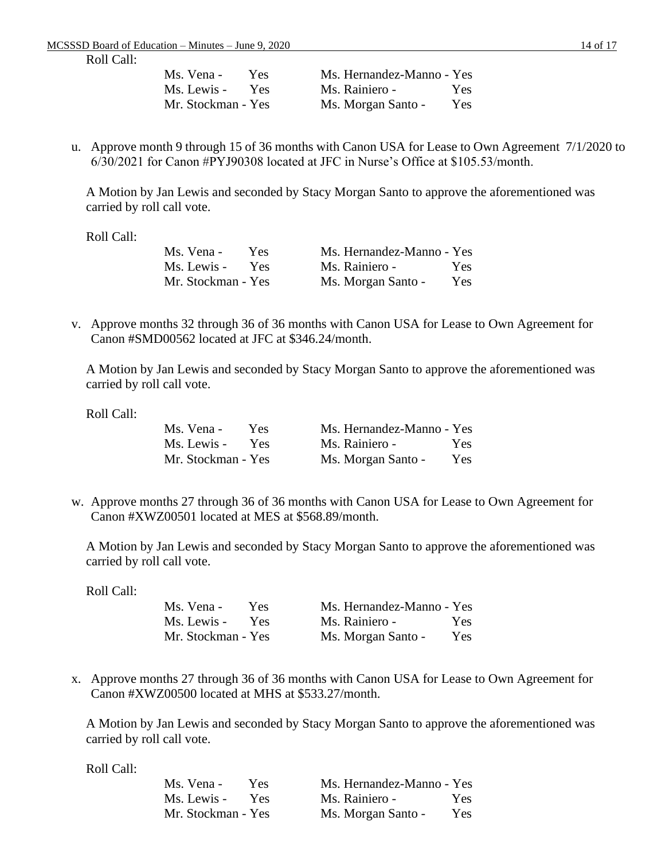| Ms. Vena -         | Yes: | Ms. Hernandez-Manno - Yes |      |
|--------------------|------|---------------------------|------|
| Ms. Lewis -        | Yes  | Ms. Rainiero -            | Yes. |
| Mr. Stockman - Yes |      | Ms. Morgan Santo -        | Yes. |

u. Approve month 9 through 15 of 36 months with Canon USA for Lease to Own Agreement 7/1/2020 to 6/30/2021 for Canon #PYJ90308 located at JFC in Nurse's Office at \$105.53/month.

A Motion by Jan Lewis and seconded by Stacy Morgan Santo to approve the aforementioned was carried by roll call vote.

Roll Call:

| Ms. Vena -         | Yes.       | Ms. Hernandez-Manno - Yes |            |
|--------------------|------------|---------------------------|------------|
| Ms. Lewis -        | <b>Yes</b> | Ms. Rainiero -            | Yes.       |
| Mr. Stockman - Yes |            | Ms. Morgan Santo -        | <b>Yes</b> |

v. Approve months 32 through 36 of 36 months with Canon USA for Lease to Own Agreement for Canon #SMD00562 located at JFC at \$346.24/month.

A Motion by Jan Lewis and seconded by Stacy Morgan Santo to approve the aforementioned was carried by roll call vote.

Roll Call:

| Ms. Vena -         | Yes.       | Ms. Hernandez-Manno - Yes |            |
|--------------------|------------|---------------------------|------------|
| Ms. Lewis -        | <b>Yes</b> | Ms. Rainiero -            | <b>Yes</b> |
| Mr. Stockman - Yes |            | Ms. Morgan Santo -        | Yes        |

w. Approve months 27 through 36 of 36 months with Canon USA for Lease to Own Agreement for Canon #XWZ00501 located at MES at \$568.89/month.

A Motion by Jan Lewis and seconded by Stacy Morgan Santo to approve the aforementioned was carried by roll call vote.

Roll Call:

| Ms. Vena -         | Yes.       | Ms. Hernandez-Manno - Yes |      |
|--------------------|------------|---------------------------|------|
| Ms. Lewis -        | <b>Yes</b> | Ms. Rainiero -            | Yes. |
| Mr. Stockman - Yes |            | Ms. Morgan Santo -        | Yes  |

x. Approve months 27 through 36 of 36 months with Canon USA for Lease to Own Agreement for Canon #XWZ00500 located at MHS at \$533.27/month.

A Motion by Jan Lewis and seconded by Stacy Morgan Santo to approve the aforementioned was carried by roll call vote.

| Ms. Vena -         | Yes. | Ms. Hernandez-Manno - Yes |      |
|--------------------|------|---------------------------|------|
| Ms. Lewis -        | Yes  | Ms. Rainiero -            | Yes  |
| Mr. Stockman - Yes |      | Ms. Morgan Santo -        | Yes. |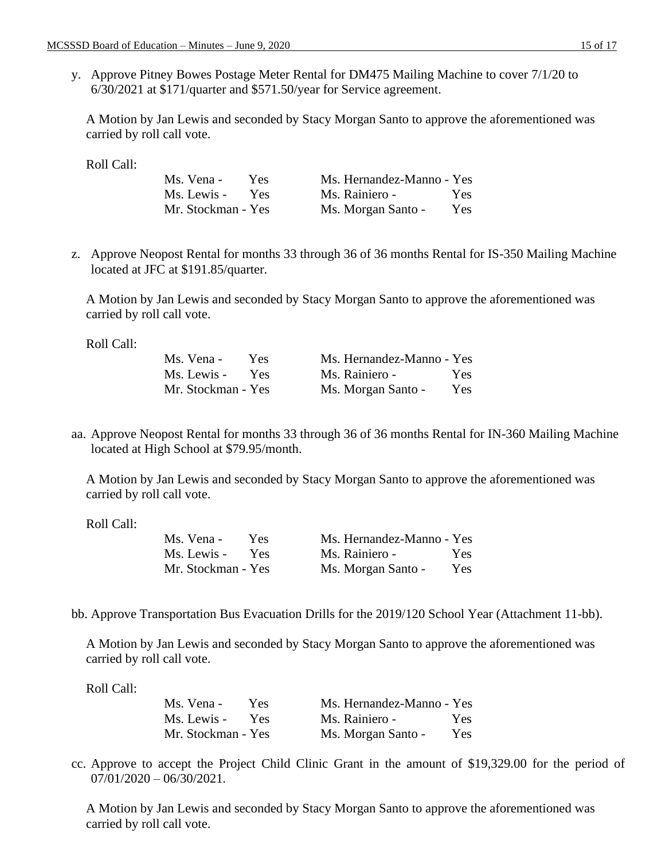y. Approve Pitney Bowes Postage Meter Rental for DM475 Mailing Machine to cover 7/1/20 to 6/30/2021 at \$171/quarter and \$571.50/year for Service agreement.

A Motion by Jan Lewis and seconded by Stacy Morgan Santo to approve the aforementioned was carried by roll call vote.

Roll Call:

| Ms. Vena -         | Yes. | Ms. Hernandez-Manno - Yes |            |
|--------------------|------|---------------------------|------------|
| Ms. Lewis -        | Yes  | Ms. Rainiero -            | Yes.       |
| Mr. Stockman - Yes |      | Ms. Morgan Santo -        | <b>Yes</b> |

z. Approve Neopost Rental for months 33 through 36 of 36 months Rental for IS-350 Mailing Machine located at JFC at \$191.85/quarter.

A Motion by Jan Lewis and seconded by Stacy Morgan Santo to approve the aforementioned was carried by roll call vote.

Roll Call:

| Ms. Vena -         | Yes.       | Ms. Hernandez-Manno - Yes |      |
|--------------------|------------|---------------------------|------|
| Ms. Lewis -        | <b>Yes</b> | Ms. Rainiero -            | Yes. |
| Mr. Stockman - Yes |            | Ms. Morgan Santo -        | Yes. |

aa. Approve Neopost Rental for months 33 through 36 of 36 months Rental for IN-360 Mailing Machine located at High School at \$79.95/month.

A Motion by Jan Lewis and seconded by Stacy Morgan Santo to approve the aforementioned was carried by roll call vote.

Roll Call:

| Ms. Vena -         | Yes. | Ms. Hernandez-Manno - Yes |      |
|--------------------|------|---------------------------|------|
| Ms. Lewis -        | Yes  | Ms. Rainiero -            | Yes. |
| Mr. Stockman - Yes |      | Ms. Morgan Santo -        | Yes  |

bb. Approve Transportation Bus Evacuation Drills for the 2019/120 School Year (Attachment 11-bb).

A Motion by Jan Lewis and seconded by Stacy Morgan Santo to approve the aforementioned was carried by roll call vote.

Roll Call:

| Ms. Vena -         | Yes.       | Ms. Hernandez-Manno - Yes |      |
|--------------------|------------|---------------------------|------|
| Ms. Lewis -        | <b>Yes</b> | Ms. Rainiero -            | Yes: |
| Mr. Stockman - Yes |            | Ms. Morgan Santo -        | Yes. |

cc. Approve to accept the Project Child Clinic Grant in the amount of \$19,329.00 for the period of  $07/01/2020 - 06/30/2021$ .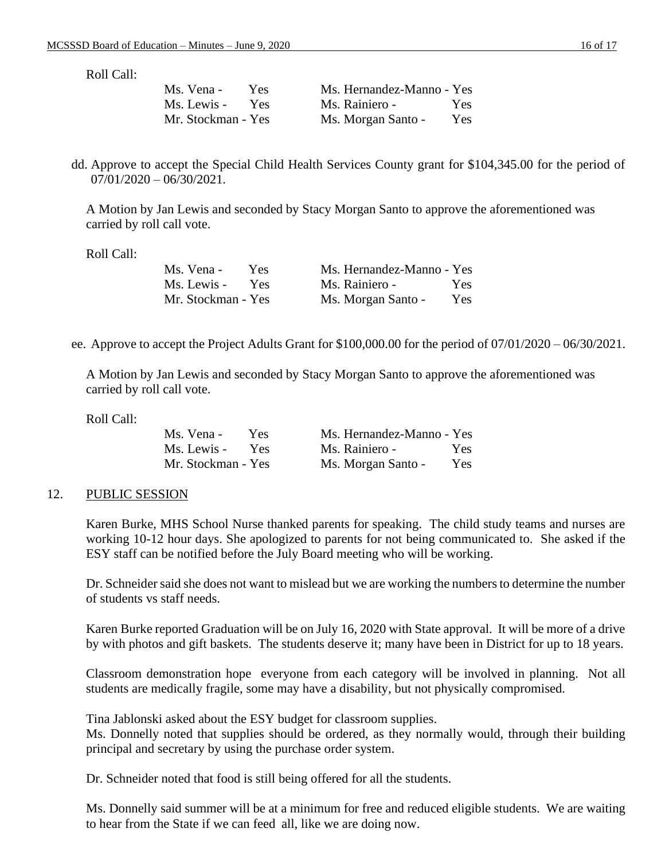| Ms. Vena -         | Yes.       | Ms. Hernandez-Manno - Yes |      |
|--------------------|------------|---------------------------|------|
| Ms. Lewis -        | <b>Yes</b> | Ms. Rainiero -            | Yes. |
| Mr. Stockman - Yes |            | Ms. Morgan Santo -        | Yes. |

dd. Approve to accept the Special Child Health Services County grant for \$104,345.00 for the period of  $07/01/2020 - 06/30/2021$ .

A Motion by Jan Lewis and seconded by Stacy Morgan Santo to approve the aforementioned was carried by roll call vote.

Roll Call:

| Ms. Vena -         | Yes.       | Ms. Hernandez-Manno - Yes |            |
|--------------------|------------|---------------------------|------------|
| Ms. Lewis -        | <b>Yes</b> | Ms. Rainiero -            | <b>Yes</b> |
| Mr. Stockman - Yes |            | Ms. Morgan Santo -        | Yes        |

ee. Approve to accept the Project Adults Grant for \$100,000.00 for the period of 07/01/2020 – 06/30/2021.

A Motion by Jan Lewis and seconded by Stacy Morgan Santo to approve the aforementioned was carried by roll call vote.

Roll Call:

| Ms. Vena -         | Yes: | Ms. Hernandez-Manno - Yes |            |
|--------------------|------|---------------------------|------------|
| Ms. Lewis -        | Yes. | Ms. Rainiero -            | <b>Yes</b> |
| Mr. Stockman - Yes |      | Ms. Morgan Santo -        | Yes        |

### 12. PUBLIC SESSION

Karen Burke, MHS School Nurse thanked parents for speaking. The child study teams and nurses are working 10-12 hour days. She apologized to parents for not being communicated to. She asked if the ESY staff can be notified before the July Board meeting who will be working.

Dr. Schneider said she does not want to mislead but we are working the numbers to determine the number of students vs staff needs.

Karen Burke reported Graduation will be on July 16, 2020 with State approval. It will be more of a drive by with photos and gift baskets. The students deserve it; many have been in District for up to 18 years.

Classroom demonstration hope everyone from each category will be involved in planning. Not all students are medically fragile, some may have a disability, but not physically compromised.

Tina Jablonski asked about the ESY budget for classroom supplies.

Ms. Donnelly noted that supplies should be ordered, as they normally would, through their building principal and secretary by using the purchase order system.

Dr. Schneider noted that food is still being offered for all the students.

Ms. Donnelly said summer will be at a minimum for free and reduced eligible students. We are waiting to hear from the State if we can feed all, like we are doing now.